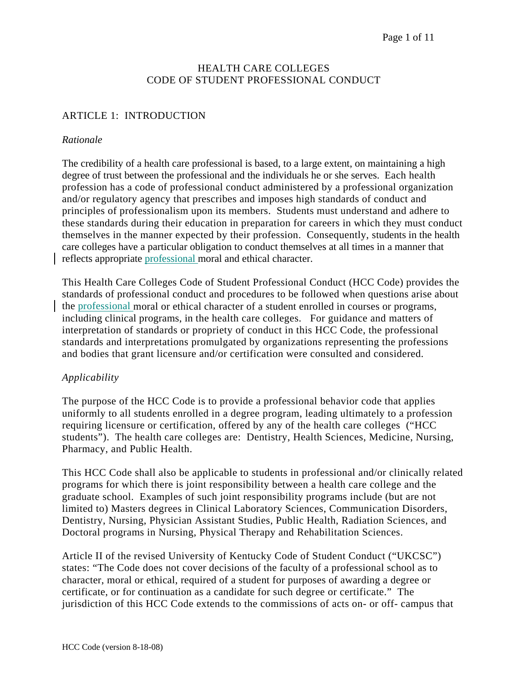#### HEALTH CARE COLLEGES CODE OF STUDENT PROFESSIONAL CONDUCT

# ARTICLE 1: INTRODUCTION

#### *Rationale*

The credibility of a health care professional is based, to a large extent, on maintaining a high degree of trust between the professional and the individuals he or she serves. Each health profession has a code of professional conduct administered by a professional organization and/or regulatory agency that prescribes and imposes high standards of conduct and principles of professionalism upon its members. Students must understand and adhere to these standards during their education in preparation for careers in which they must conduct themselves in the manner expected by their profession. Consequently, students in the health care colleges have a particular obligation to conduct themselves at all times in a manner that reflects appropriate professional moral and ethical character.

This Health Care Colleges Code of Student Professional Conduct (HCC Code) provides the standards of professional conduct and procedures to be followed when questions arise about the professional moral or ethical character of a student enrolled in courses or programs, including clinical programs, in the health care colleges. For guidance and matters of interpretation of standards or propriety of conduct in this HCC Code, the professional standards and interpretations promulgated by organizations representing the professions and bodies that grant licensure and/or certification were consulted and considered.

## *Applicability*

The purpose of the HCC Code is to provide a professional behavior code that applies uniformly to all students enrolled in a degree program, leading ultimately to a profession requiring licensure or certification, offered by any of the health care colleges ("HCC students"). The health care colleges are: Dentistry, Health Sciences, Medicine, Nursing, Pharmacy, and Public Health.

This HCC Code shall also be applicable to students in professional and/or clinically related programs for which there is joint responsibility between a health care college and the graduate school. Examples of such joint responsibility programs include (but are not limited to) Masters degrees in Clinical Laboratory Sciences, Communication Disorders, Dentistry, Nursing, Physician Assistant Studies, Public Health, Radiation Sciences, and Doctoral programs in Nursing, Physical Therapy and Rehabilitation Sciences.

Article II of the revised University of Kentucky Code of Student Conduct ("UKCSC") states: "The Code does not cover decisions of the faculty of a professional school as to character, moral or ethical, required of a student for purposes of awarding a degree or certificate, or for continuation as a candidate for such degree or certificate." The jurisdiction of this HCC Code extends to the commissions of acts on- or off- campus that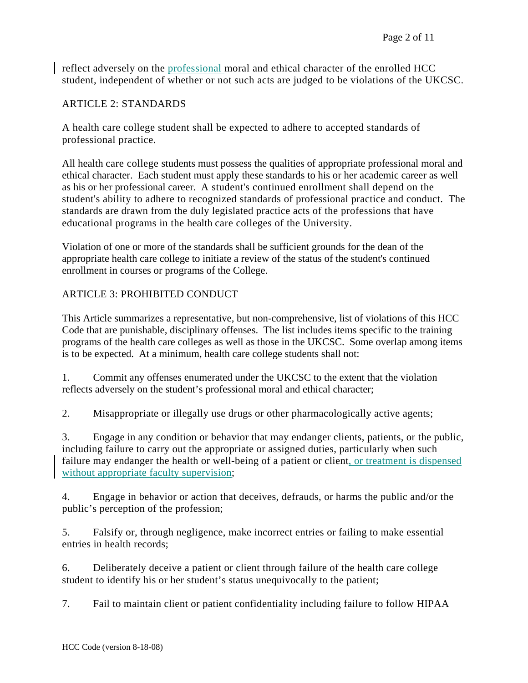reflect adversely on the professional moral and ethical character of the enrolled HCC student, independent of whether or not such acts are judged to be violations of the UKCSC.

### ARTICLE 2: STANDARDS

A health care college student shall be expected to adhere to accepted standards of professional practice.

All health care college students must possess the qualities of appropriate professional moral and ethical character. Each student must apply these standards to his or her academic career as well as his or her professional career. A student's continued enrollment shall depend on the student's ability to adhere to recognized standards of professional practice and conduct. The standards are drawn from the duly legislated practice acts of the professions that have educational programs in the health care colleges of the University.

Violation of one or more of the standards shall be sufficient grounds for the dean of the appropriate health care college to initiate a review of the status of the student's continued enrollment in courses or programs of the College.

## ARTICLE 3: PROHIBITED CONDUCT

This Article summarizes a representative, but non-comprehensive, list of violations of this HCC Code that are punishable, disciplinary offenses. The list includes items specific to the training programs of the health care colleges as well as those in the UKCSC. Some overlap among items is to be expected. At a minimum, health care college students shall not:

1. Commit any offenses enumerated under the UKCSC to the extent that the violation reflects adversely on the student's professional moral and ethical character;

2. Misappropriate or illegally use drugs or other pharmacologically active agents;

3. Engage in any condition or behavior that may endanger clients, patients, or the public, including failure to carry out the appropriate or assigned duties, particularly when such failure may endanger the health or well-being of a patient or client, or treatment is dispensed without appropriate faculty supervision;

4. Engage in behavior or action that deceives, defrauds, or harms the public and/or the public's perception of the profession;

5. Falsify or, through negligence, make incorrect entries or failing to make essential entries in health records;

6. Deliberately deceive a patient or client through failure of the health care college student to identify his or her student's status unequivocally to the patient;

7. Fail to maintain client or patient confidentiality including failure to follow HIPAA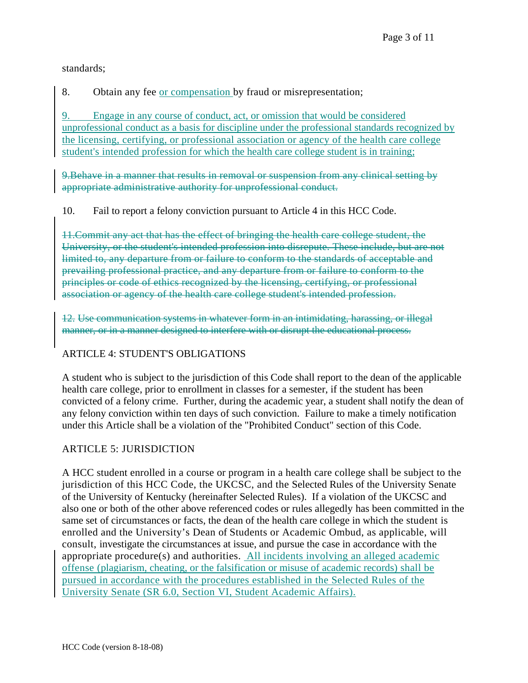standards;

8. Obtain any fee or compensation by fraud or misrepresentation;

9. Engage in any course of conduct, act, or omission that would be considered unprofessional conduct as a basis for discipline under the professional standards recognized by the licensing, certifying, or professional association or agency of the health care college student's intended profession for which the health care college student is in training;

9.Behave in a manner that results in removal or suspension from any clinical setting by appropriate administrative authority for unprofessional conduct.

10. Fail to report a felony conviction pursuant to Article 4 in this HCC Code.

11.Commit any act that has the effect of bringing the health care college student, the University, or the student's intended profession into disrepute. These include, but are not limited to, any departure from or failure to conform to the standards of acceptable and prevailing professional practice, and any departure from or failure to conform to the principles or code of ethics recognized by the licensing, certifying, or professional association or agency of the health care college student's intended profession.

12. Use communication systems in whatever form in an intimidating, harassing, or illegal manner, or in a manner designed to interfere with or disrupt the educational process.

# ARTICLE 4: STUDENT'S OBLIGATIONS

A student who is subject to the jurisdiction of this Code shall report to the dean of the applicable health care college, prior to enrollment in classes for a semester, if the student has been convicted of a felony crime. Further, during the academic year, a student shall notify the dean of any felony conviction within ten days of such conviction. Failure to make a timely notification under this Article shall be a violation of the "Prohibited Conduct" section of this Code.

# ARTICLE 5: JURISDICTION

A HCC student enrolled in a course or program in a health care college shall be subject to the jurisdiction of this HCC Code, the UKCSC, and the Selected Rules of the University Senate of the University of Kentucky (hereinafter Selected Rules). If a violation of the UKCSC and also one or both of the other above referenced codes or rules allegedly has been committed in the same set of circumstances or facts, the dean of the health care college in which the student is enrolled and the University's Dean of Students or Academic Ombud, as applicable, will consult, investigate the circumstances at issue, and pursue the case in accordance with the appropriate procedure(s) and authorities. All incidents involving an alleged academic offense (plagiarism, cheating, or the falsification or misuse of academic records) shall be pursued in accordance with the procedures established in the Selected Rules of the University Senate (SR 6.0, Section VI, Student Academic Affairs).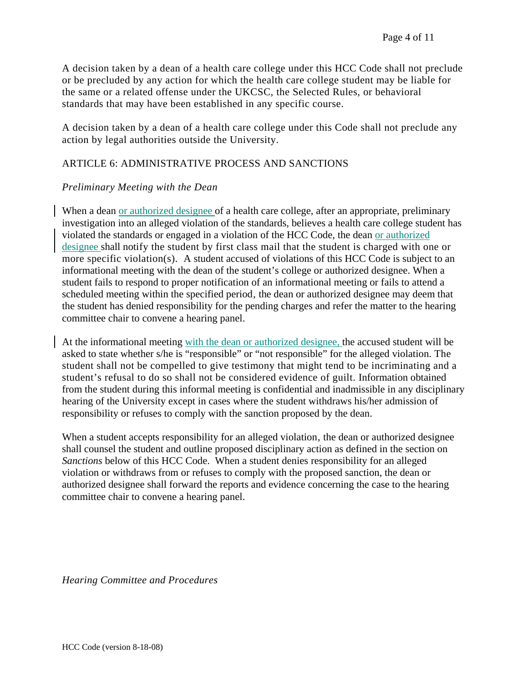A decision taken by a dean of a health care college under this HCC Code shall not preclude or be precluded by any action for which the health care college student may be liable for the same or a related offense under the UKCSC, the Selected Rules, or behavioral standards that may have been established in any specific course.

A decision taken by a dean of a health care college under this Code shall not preclude any action by legal authorities outside the University.

# ARTICLE 6: ADMINISTRATIVE PROCESS AND SANCTIONS

### *Preliminary Meeting with the Dean*

When a dean or authorized designee of a health care college, after an appropriate, preliminary investigation into an alleged violation of the standards, believes a health care college student has violated the standards or engaged in a violation of the HCC Code, the dean or authorized designee shall notify the student by first class mail that the student is charged with one or more specific violation(s). A student accused of violations of this HCC Code is subject to an informational meeting with the dean of the student's college or authorized designee. When a student fails to respond to proper notification of an informational meeting or fails to attend a scheduled meeting within the specified period, the dean or authorized designee may deem that the student has denied responsibility for the pending charges and refer the matter to the hearing committee chair to convene a hearing panel.

At the informational meeting with the dean or authorized designee, the accused student will be asked to state whether s/he is "responsible" or "not responsible" for the alleged violation. The student shall not be compelled to give testimony that might tend to be incriminating and a student's refusal to do so shall not be considered evidence of guilt. Information obtained from the student during this informal meeting is confidential and inadmissible in any disciplinary hearing of the University except in cases where the student withdraws his/her admission of responsibility or refuses to comply with the sanction proposed by the dean.

When a student accepts responsibility for an alleged violation, the dean or authorized designee shall counsel the student and outline proposed disciplinary action as defined in the section on *Sanctions* below of this HCC Code. When a student denies responsibility for an alleged violation or withdraws from or refuses to comply with the proposed sanction, the dean or authorized designee shall forward the reports and evidence concerning the case to the hearing committee chair to convene a hearing panel.

*Hearing Committee and Procedures*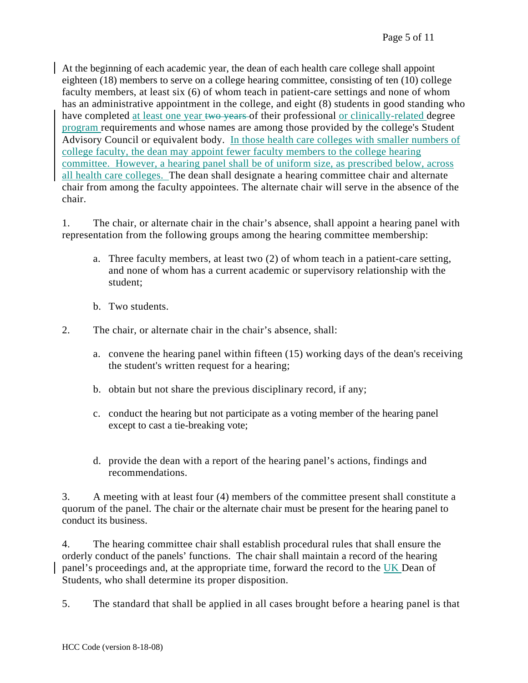At the beginning of each academic year, the dean of each health care college shall appoint eighteen (18) members to serve on a college hearing committee, consisting of ten (10) college faculty members, at least six (6) of whom teach in patient-care settings and none of whom has an administrative appointment in the college, and eight (8) students in good standing who have completed at least one year two years of their professional or clinically-related degree program requirements and whose names are among those provided by the college's Student Advisory Council or equivalent body. In those health care colleges with smaller numbers of college faculty, the dean may appoint fewer faculty members to the college hearing committee. However, a hearing panel shall be of uniform size, as prescribed below, across all health care colleges. The dean shall designate a hearing committee chair and alternate chair from among the faculty appointees. The alternate chair will serve in the absence of the chair.

1. The chair, or alternate chair in the chair's absence, shall appoint a hearing panel with representation from the following groups among the hearing committee membership:

- a. Three faculty members, at least two (2) of whom teach in a patient-care setting, and none of whom has a current academic or supervisory relationship with the student;
- b. Two students.
- 2. The chair, or alternate chair in the chair's absence, shall:
	- a. convene the hearing panel within fifteen (15) working days of the dean's receiving the student's written request for a hearing;
	- b. obtain but not share the previous disciplinary record, if any;
	- c. conduct the hearing but not participate as a voting member of the hearing panel except to cast a tie-breaking vote;
	- d. provide the dean with a report of the hearing panel's actions, findings and recommendations.

3. A meeting with at least four (4) members of the committee present shall constitute a quorum of the panel. The chair or the alternate chair must be present for the hearing panel to conduct its business.

4. The hearing committee chair shall establish procedural rules that shall ensure the orderly conduct of the panels' functions. The chair shall maintain a record of the hearing panel's proceedings and, at the appropriate time, forward the record to the UK Dean of Students, who shall determine its proper disposition.

5. The standard that shall be applied in all cases brought before a hearing panel is that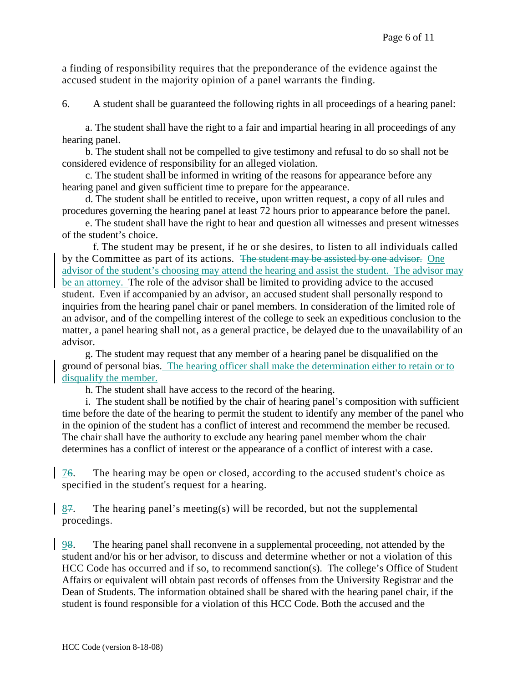a finding of responsibility requires that the preponderance of the evidence against the accused student in the majority opinion of a panel warrants the finding.

6. A student shall be guaranteed the following rights in all proceedings of a hearing panel:

 a. The student shall have the right to a fair and impartial hearing in all proceedings of any hearing panel.

 b. The student shall not be compelled to give testimony and refusal to do so shall not be considered evidence of responsibility for an alleged violation.

 c. The student shall be informed in writing of the reasons for appearance before any hearing panel and given sufficient time to prepare for the appearance.

d. The student shall be entitled to receive, upon written request, a copy of all rules and procedures governing the hearing panel at least 72 hours prior to appearance before the panel.

 e. The student shall have the right to hear and question all witnesses and present witnesses of the student's choice.

 f. The student may be present, if he or she desires, to listen to all individuals called by the Committee as part of its actions. The student may be assisted by one advisor. One advisor of the student's choosing may attend the hearing and assist the student. The advisor may be an attorney. The role of the advisor shall be limited to providing advice to the accused student. Even if accompanied by an advisor, an accused student shall personally respond to inquiries from the hearing panel chair or panel members. In consideration of the limited role of an advisor, and of the compelling interest of the college to seek an expeditious conclusion to the matter, a panel hearing shall not, as a general practice, be delayed due to the unavailability of an advisor.

 g. The student may request that any member of a hearing panel be disqualified on the ground of personal bias. The hearing officer shall make the determination either to retain or to disqualify the member.

h. The student shall have access to the record of the hearing.

i. The student shall be notified by the chair of hearing panel's composition with sufficient time before the date of the hearing to permit the student to identify any member of the panel who in the opinion of the student has a conflict of interest and recommend the member be recused. The chair shall have the authority to exclude any hearing panel member whom the chair determines has a conflict of interest or the appearance of a conflict of interest with a case.

76. The hearing may be open or closed, according to the accused student's choice as specified in the student's request for a hearing.

 $87.$  The hearing panel's meeting(s) will be recorded, but not the supplemental procedings.

98. The hearing panel shall reconvene in a supplemental proceeding, not attended by the student and/or his or her advisor, to discuss and determine whether or not a violation of this HCC Code has occurred and if so, to recommend sanction(s). The college's Office of Student Affairs or equivalent will obtain past records of offenses from the University Registrar and the Dean of Students. The information obtained shall be shared with the hearing panel chair, if the student is found responsible for a violation of this HCC Code. Both the accused and the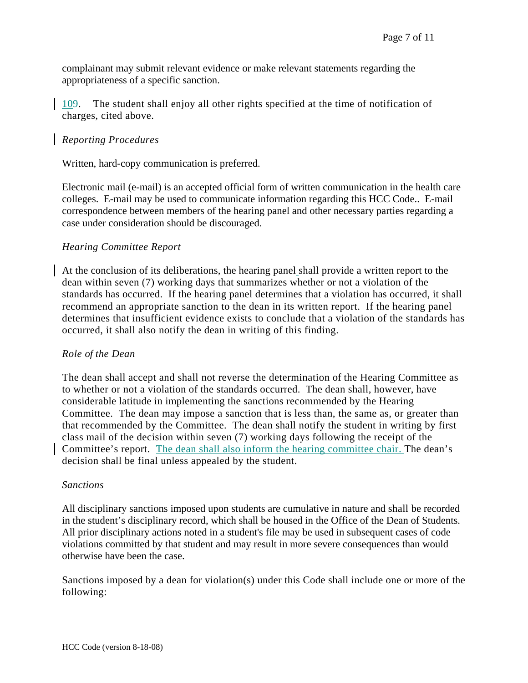complainant may submit relevant evidence or make relevant statements regarding the appropriateness of a specific sanction.

109. The student shall enjoy all other rights specified at the time of notification of charges, cited above.

## *Reporting Procedures*

Written, hard-copy communication is preferred.

Electronic mail (e-mail) is an accepted official form of written communication in the health care colleges. E-mail may be used to communicate information regarding this HCC Code.. E-mail correspondence between members of the hearing panel and other necessary parties regarding a case under consideration should be discouraged.

#### *Hearing Committee Report*

At the conclusion of its deliberations, the hearing panel shall provide a written report to the dean within seven (7) working days that summarizes whether or not a violation of the standards has occurred. If the hearing panel determines that a violation has occurred, it shall recommend an appropriate sanction to the dean in its written report. If the hearing panel determines that insufficient evidence exists to conclude that a violation of the standards has occurred, it shall also notify the dean in writing of this finding.

#### *Role of the Dean*

The dean shall accept and shall not reverse the determination of the Hearing Committee as to whether or not a violation of the standards occurred. The dean shall, however, have considerable latitude in implementing the sanctions recommended by the Hearing Committee. The dean may impose a sanction that is less than, the same as, or greater than that recommended by the Committee. The dean shall notify the student in writing by first class mail of the decision within seven (7) working days following the receipt of the Committee's report. The dean shall also inform the hearing committee chair. The dean's decision shall be final unless appealed by the student.

#### *Sanctions*

All disciplinary sanctions imposed upon students are cumulative in nature and shall be recorded in the student's disciplinary record, which shall be housed in the Office of the Dean of Students. All prior disciplinary actions noted in a student's file may be used in subsequent cases of code violations committed by that student and may result in more severe consequences than would otherwise have been the case.

Sanctions imposed by a dean for violation(s) under this Code shall include one or more of the following: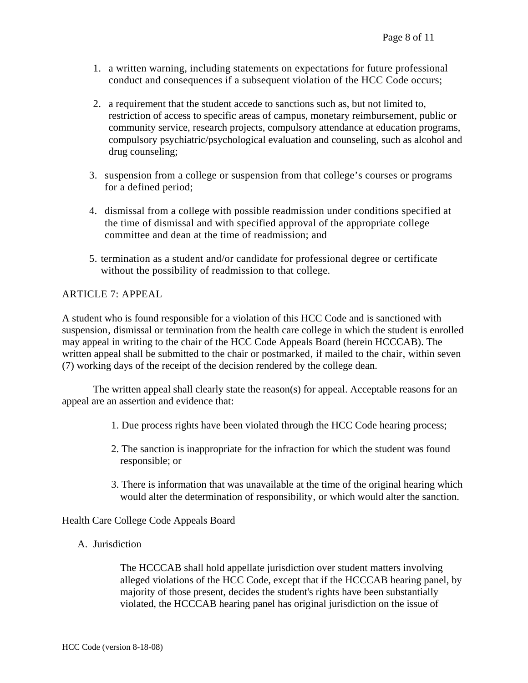- 1. a written warning, including statements on expectations for future professional conduct and consequences if a subsequent violation of the HCC Code occurs;
- 2. a requirement that the student accede to sanctions such as, but not limited to, restriction of access to specific areas of campus, monetary reimbursement, public or community service, research projects, compulsory attendance at education programs, compulsory psychiatric/psychological evaluation and counseling, such as alcohol and drug counseling;
- 3. suspension from a college or suspension from that college's courses or programs for a defined period;
- 4. dismissal from a college with possible readmission under conditions specified at the time of dismissal and with specified approval of the appropriate college committee and dean at the time of readmission; and
- 5. termination as a student and/or candidate for professional degree or certificate without the possibility of readmission to that college.

### ARTICLE 7: APPEAL

A student who is found responsible for a violation of this HCC Code and is sanctioned with suspension, dismissal or termination from the health care college in which the student is enrolled may appeal in writing to the chair of the HCC Code Appeals Board (herein HCCCAB). The written appeal shall be submitted to the chair or postmarked, if mailed to the chair, within seven (7) working days of the receipt of the decision rendered by the college dean.

 The written appeal shall clearly state the reason(s) for appeal. Acceptable reasons for an appeal are an assertion and evidence that:

- 1. Due process rights have been violated through the HCC Code hearing process;
- 2. The sanction is inappropriate for the infraction for which the student was found responsible; or
- 3. There is information that was unavailable at the time of the original hearing which would alter the determination of responsibility, or which would alter the sanction.

Health Care College Code Appeals Board

A. Jurisdiction

The HCCCAB shall hold appellate jurisdiction over student matters involving alleged violations of the HCC Code, except that if the HCCCAB hearing panel, by majority of those present, decides the student's rights have been substantially violated, the HCCCAB hearing panel has original jurisdiction on the issue of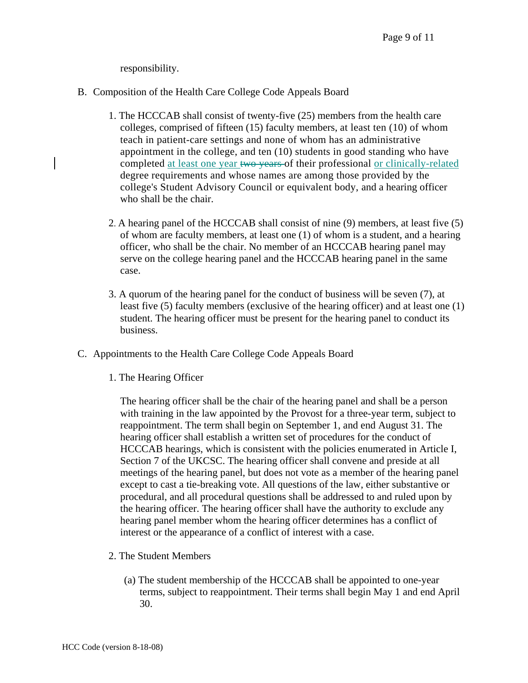responsibility.

- B. Composition of the Health Care College Code Appeals Board
	- 1. The HCCCAB shall consist of twenty-five (25) members from the health care colleges, comprised of fifteen (15) faculty members, at least ten (10) of whom teach in patient-care settings and none of whom has an administrative appointment in the college, and ten (10) students in good standing who have completed at least one year two years of their professional or clinically-related degree requirements and whose names are among those provided by the college's Student Advisory Council or equivalent body, and a hearing officer who shall be the chair.
	- 2. A hearing panel of the HCCCAB shall consist of nine (9) members, at least five (5) of whom are faculty members, at least one (1) of whom is a student, and a hearing officer, who shall be the chair. No member of an HCCCAB hearing panel may serve on the college hearing panel and the HCCCAB hearing panel in the same case.
	- 3. A quorum of the hearing panel for the conduct of business will be seven (7), at least five (5) faculty members (exclusive of the hearing officer) and at least one (1) student. The hearing officer must be present for the hearing panel to conduct its business.
- C. Appointments to the Health Care College Code Appeals Board
	- 1. The Hearing Officer

The hearing officer shall be the chair of the hearing panel and shall be a person with training in the law appointed by the Provost for a three-year term, subject to reappointment. The term shall begin on September 1, and end August 31. The hearing officer shall establish a written set of procedures for the conduct of HCCCAB hearings, which is consistent with the policies enumerated in Article I, Section 7 of the UKCSC. The hearing officer shall convene and preside at all meetings of the hearing panel, but does not vote as a member of the hearing panel except to cast a tie-breaking vote. All questions of the law, either substantive or procedural, and all procedural questions shall be addressed to and ruled upon by the hearing officer. The hearing officer shall have the authority to exclude any hearing panel member whom the hearing officer determines has a conflict of interest or the appearance of a conflict of interest with a case.

- 2. The Student Members
	- (a) The student membership of the HCCCAB shall be appointed to one-year terms, subject to reappointment. Their terms shall begin May 1 and end April 30.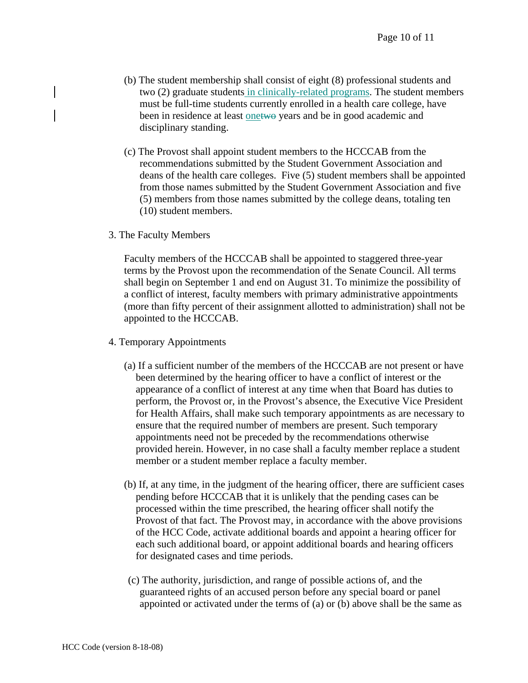- (b) The student membership shall consist of eight (8) professional students and two (2) graduate students in clinically-related programs. The student members must be full-time students currently enrolled in a health care college, have been in residence at least onetwo years and be in good academic and disciplinary standing.
- (c) The Provost shall appoint student members to the HCCCAB from the recommendations submitted by the Student Government Association and deans of the health care colleges. Five (5) student members shall be appointed from those names submitted by the Student Government Association and five (5) members from those names submitted by the college deans, totaling ten (10) student members.
- 3. The Faculty Members

Faculty members of the HCCCAB shall be appointed to staggered three-year terms by the Provost upon the recommendation of the Senate Council. All terms shall begin on September 1 and end on August 31. To minimize the possibility of a conflict of interest, faculty members with primary administrative appointments (more than fifty percent of their assignment allotted to administration) shall not be appointed to the HCCCAB.

- 4. Temporary Appointments
	- (a) If a sufficient number of the members of the HCCCAB are not present or have been determined by the hearing officer to have a conflict of interest or the appearance of a conflict of interest at any time when that Board has duties to perform, the Provost or, in the Provost's absence, the Executive Vice President for Health Affairs, shall make such temporary appointments as are necessary to ensure that the required number of members are present. Such temporary appointments need not be preceded by the recommendations otherwise provided herein. However, in no case shall a faculty member replace a student member or a student member replace a faculty member.
	- (b) If, at any time, in the judgment of the hearing officer, there are sufficient cases pending before HCCCAB that it is unlikely that the pending cases can be processed within the time prescribed, the hearing officer shall notify the Provost of that fact. The Provost may, in accordance with the above provisions of the HCC Code, activate additional boards and appoint a hearing officer for each such additional board, or appoint additional boards and hearing officers for designated cases and time periods.
	- (c) The authority, jurisdiction, and range of possible actions of, and the guaranteed rights of an accused person before any special board or panel appointed or activated under the terms of (a) or (b) above shall be the same as